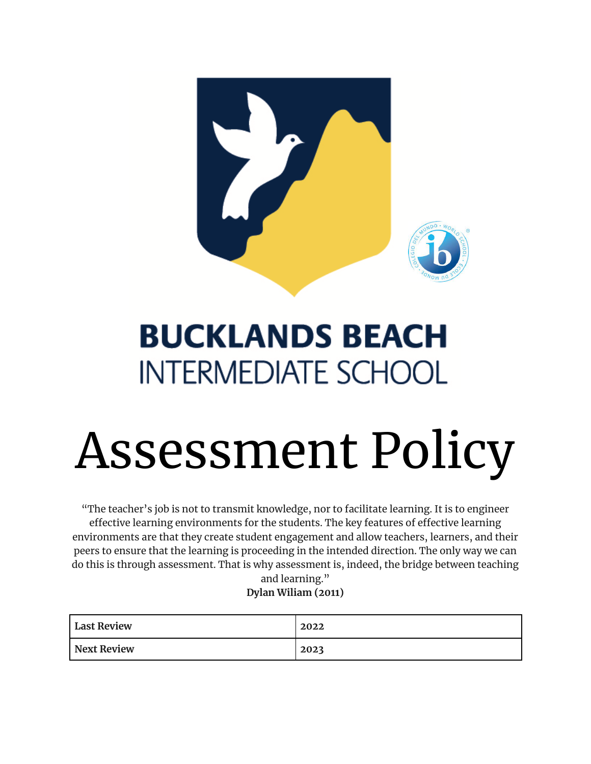

# **BUCKLANDS BEACH INTERMEDIATE SCHOOL**

# Assessment Policy

"The teacher's job is not to transmit knowledge, nor to facilitate learning. It is to engineer effective learning environments for the students. The key features of effective learning environments are that they create student engagement and allow teachers, learners, and their peers to ensure that the learning is proceeding in the intended direction. The only way we can do this is through assessment. That is why assessment is, indeed, the bridge between teaching

and learning." **Dylan Wiliam (2011)**

| <b>Last Review</b> | 2022 |
|--------------------|------|
| Next Review        | 2023 |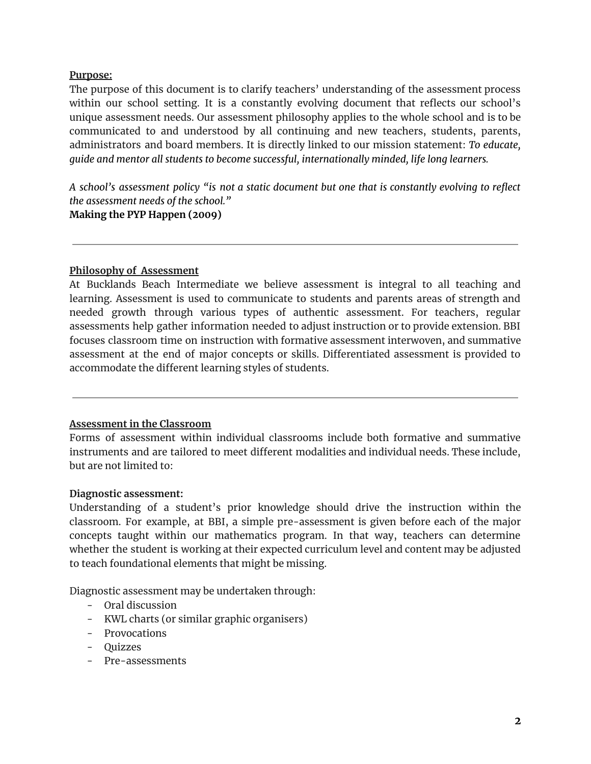#### **Purpose:**

The purpose of this document is to clarify teachers' understanding of the assessment process within our school setting. It is a constantly evolving document that reflects our school's unique assessment needs. Our assessment philosophy applies to the whole school and is to be communicated to and understood by all continuing and new teachers, students, parents, administrators and board members. It is directly linked to our mission statement: *To educate, guide and mentor all students to become successful, internationally minded, life long learners.*

*A school's assessment policy "is not a static document but one that is constantly evolving to reflect the assessment needs of the school."*

**Making the PYP Happen (2009)**

#### **Philosophy of Assessment**

At Bucklands Beach Intermediate we believe assessment is integral to all teaching and learning. Assessment is used to communicate to students and parents areas of strength and needed growth through various types of authentic assessment. For teachers, regular assessments help gather information needed to adjust instruction or to provide extension. BBI focuses classroom time on instruction with formative assessment interwoven, and summative assessment at the end of major concepts or skills. Differentiated assessment is provided to accommodate the different learning styles of students.

#### **Assessment in the Classroom**

Forms of assessment within individual classrooms include both formative and summative instruments and are tailored to meet different modalities and individual needs. These include, but are not limited to:

#### **Diagnostic assessment:**

Understanding of a student's prior knowledge should drive the instruction within the classroom. For example, at BBI, a simple pre-assessment is given before each of the major concepts taught within our mathematics program. In that way, teachers can determine whether the student is working at their expected curriculum level and content may be adjusted to teach foundational elements that might be missing.

Diagnostic assessment may be undertaken through:

- Oral discussion
- KWL charts (or similar graphic organisers)
- Provocations
- Quizzes
- Pre-assessments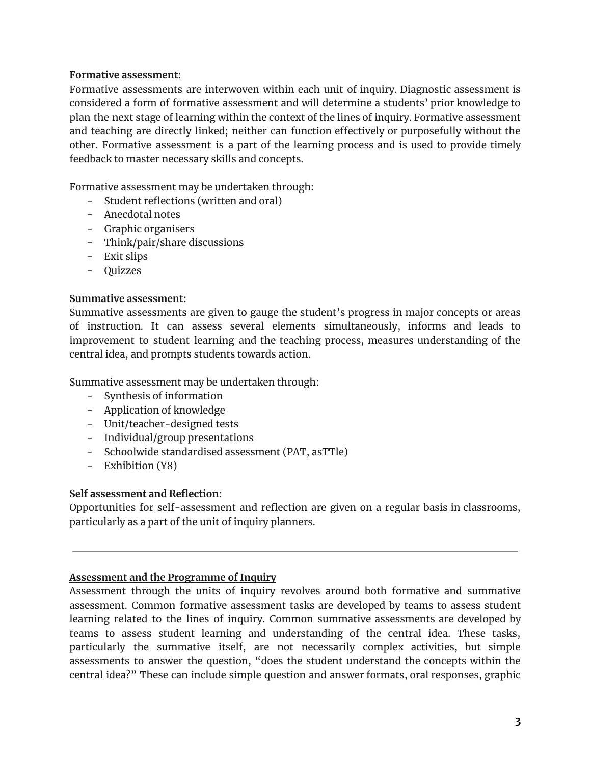#### **Formative assessment:**

Formative assessments are interwoven within each unit of inquiry. Diagnostic assessment is considered a form of formative assessment and will determine a students' prior knowledge to plan the next stage of learning within the context of the lines of inquiry. Formative assessment and teaching are directly linked; neither can function effectively or purposefully without the other. Formative assessment is a part of the learning process and is used to provide timely feedback to master necessary skills and concepts.

Formative assessment may be undertaken through:

- Student reflections (written and oral)
- Anecdotal notes
- Graphic organisers
- Think/pair/share discussions
- Exit slips
- Quizzes

#### **Summative assessment:**

Summative assessments are given to gauge the student's progress in major concepts or areas of instruction. It can assess several elements simultaneously, informs and leads to improvement to student learning and the teaching process, measures understanding of the central idea, and prompts students towards action.

Summative assessment may be undertaken through:

- Synthesis of information
- Application of knowledge
- Unit/teacher-designed tests
- Individual/group presentations
- Schoolwide standardised assessment (PAT, asTTle)
- Exhibition (Y8)

# **Self assessment and Reflection**:

Opportunities for self-assessment and reflection are given on a regular basis in classrooms, particularly as a part of the unit of inquiry planners.

# **Assessment and the Programme of Inquiry**

Assessment through the units of inquiry revolves around both formative and summative assessment. Common formative assessment tasks are developed by teams to assess student learning related to the lines of inquiry. Common summative assessments are developed by teams to assess student learning and understanding of the central idea. These tasks, particularly the summative itself, are not necessarily complex activities, but simple assessments to answer the question, "does the student understand the concepts within the central idea?" These can include simple question and answer formats, oral responses, graphic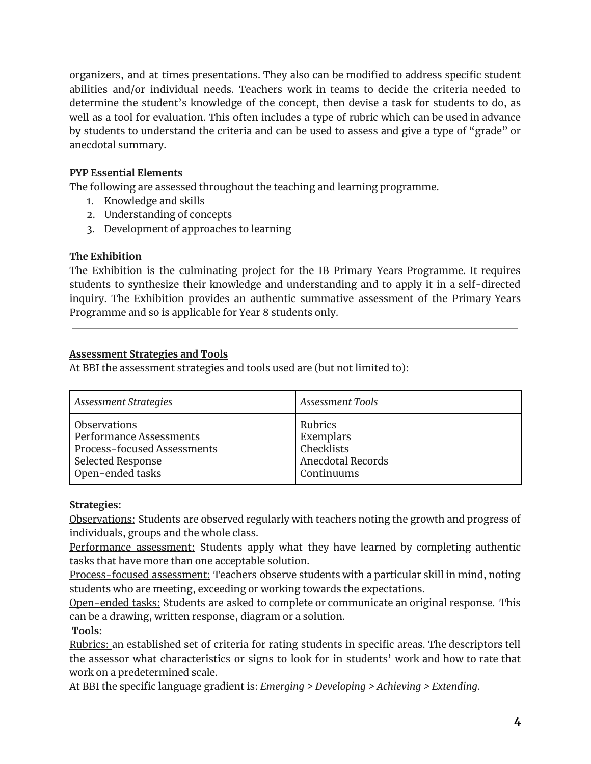organizers, and at times presentations. They also can be modified to address specific student abilities and/or individual needs. Teachers work in teams to decide the criteria needed to determine the student's knowledge of the concept, then devise a task for students to do, as well as a tool for evaluation. This often includes a type of rubric which can be used in advance by students to understand the criteria and can be used to assess and give a type of "grade" or anecdotal summary.

# **PYP Essential Elements**

The following are assessed throughout the teaching and learning programme.

- 1. Knowledge and skills
- 2. Understanding of concepts
- 3. Development of approaches to learning

# **The Exhibition**

The Exhibition is the culminating project for the IB Primary Years Programme. It requires students to synthesize their knowledge and understanding and to apply it in a self-directed inquiry. The Exhibition provides an authentic summative assessment of the Primary Years Programme and so is applicable for Year 8 students only.

# **Assessment Strategies and Tools**

At BBI the assessment strategies and tools used are (but not limited to):

| <b>Assessment Strategies</b>       | <b>Assessment Tools</b> |
|------------------------------------|-------------------------|
| <b>Observations</b>                | Rubrics                 |
| Performance Assessments            | Exemplars               |
| <b>Process-focused Assessments</b> | Checklists              |
| Selected Response                  | Anecdotal Records       |
| Open-ended tasks                   | Continuums              |

# **Strategies:**

Observations: Students are observed regularly with teachers noting the growth and progress of individuals, groups and the whole class.

Performance assessment: Students apply what they have learned by completing authentic tasks that have more than one acceptable solution.

Process-focused assessment: Teachers observe students with a particular skill in mind, noting students who are meeting, exceeding or working towards the expectations.

Open-ended tasks: Students are asked to complete or communicate an original response. This can be a drawing, written response, diagram or a solution.

**Tools:**

Rubrics: an established set of criteria for rating students in specific areas. The descriptors tell the assessor what characteristics or signs to look for in students' work and how to rate that work on a predetermined scale.

At BBI the specific language gradient is: *Emerging > Developing > Achieving > Extending*.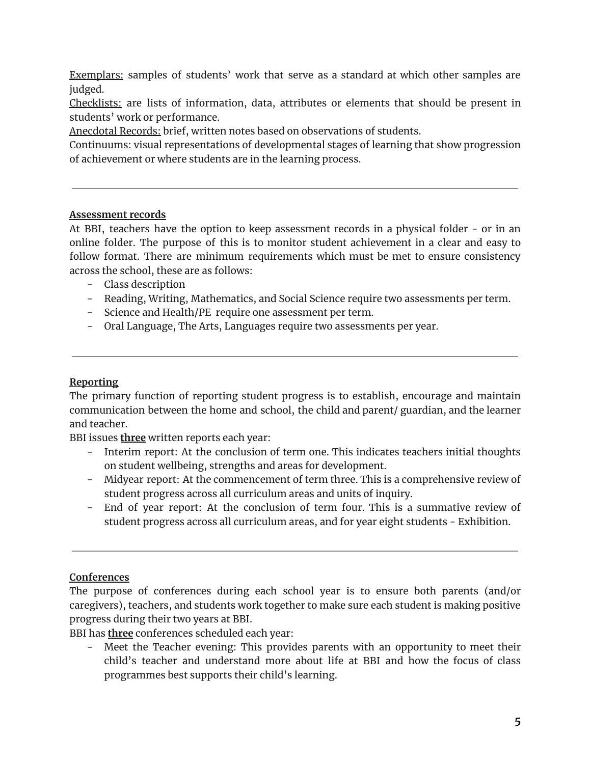Exemplars: samples of students' work that serve as a standard at which other samples are judged.

Checklists: are lists of information, data, attributes or elements that should be present in students' work or performance.

Anecdotal Records: brief, written notes based on observations of students.

Continuums: visual representations of developmental stages of learning that show progression of achievement or where students are in the learning process.

#### **Assessment records**

At BBI, teachers have the option to keep assessment records in a physical folder - or in an online folder. The purpose of this is to monitor student achievement in a clear and easy to follow format. There are minimum requirements which must be met to ensure consistency across the school, these are as follows:

- Class description
- Reading, Writing, Mathematics, and Social Science require two assessments per term.
- Science and Health/PE require one assessment per term.
- Oral Language, The Arts, Languages require two assessments per year.

# **Reporting**

The primary function of reporting student progress is to establish, encourage and maintain communication between the home and school, the child and parent/ guardian, and the learner and teacher.

BBI issues **three** written reports each year:

- Interim report: At the conclusion of term one. This indicates teachers initial thoughts on student wellbeing, strengths and areas for development.
- Midyear report: At the commencement of term three. This is a comprehensive review of student progress across all curriculum areas and units of inquiry.
- End of year report: At the conclusion of term four. This is a summative review of student progress across all curriculum areas, and for year eight students - Exhibition.

# **Conferences**

The purpose of conferences during each school year is to ensure both parents (and/or caregivers), teachers, and students work together to make sure each student is making positive progress during their two years at BBI.

BBI has **three** conferences scheduled each year:

- Meet the Teacher evening: This provides parents with an opportunity to meet their child's teacher and understand more about life at BBI and how the focus of class programmes best supports their child's learning.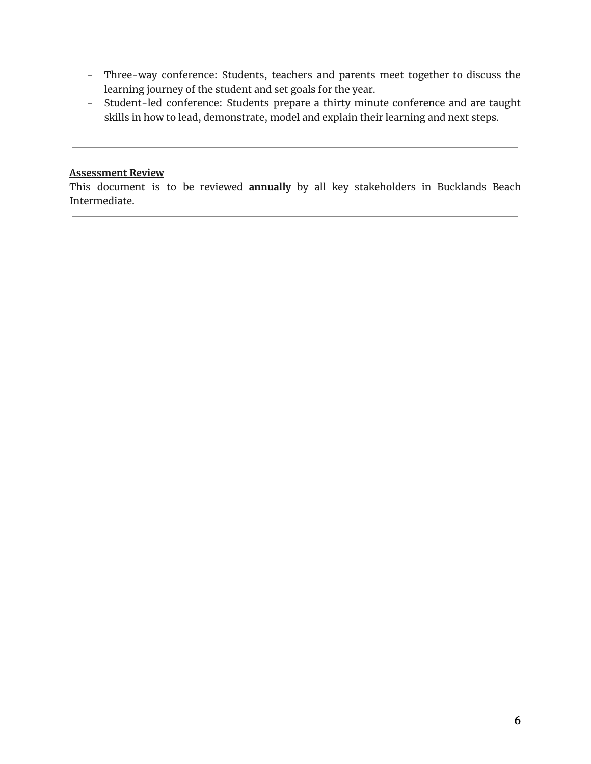- Three-way conference: Students, teachers and parents meet together to discuss the learning journey of the student and set goals for the year.
- Student-led conference: Students prepare a thirty minute conference and are taught skills in how to lead, demonstrate, model and explain their learning and next steps.

# **Assessment Review**

This document is to be reviewed **annually** by all key stakeholders in Bucklands Beach Intermediate.